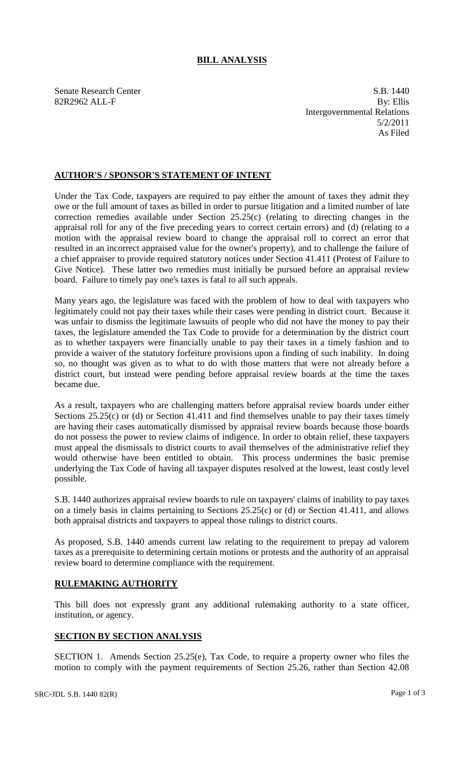## **BILL ANALYSIS**

Senate Research Center S.B. 1440 82R2962 ALL-F By: Ellis Intergovernmental Relations 5/2/2011 As Filed

## **AUTHOR'S / SPONSOR'S STATEMENT OF INTENT**

Under the Tax Code, taxpayers are required to pay either the amount of taxes they admit they owe or the full amount of taxes as billed in order to pursue litigation and a limited number of late correction remedies available under Section 25.25(c) (relating to directing changes in the appraisal roll for any of the five preceding years to correct certain errors) and (d) (relating to a motion with the appraisal review board to change the appraisal roll to correct an error that resulted in an incorrect appraised value for the owner's property), and to challenge the failure of a chief appraiser to provide required statutory notices under Section 41.411 (Protest of Failure to Give Notice). These latter two remedies must initially be pursued before an appraisal review board. Failure to timely pay one's taxes is fatal to all such appeals.

Many years ago, the legislature was faced with the problem of how to deal with taxpayers who legitimately could not pay their taxes while their cases were pending in district court. Because it was unfair to dismiss the legitimate lawsuits of people who did not have the money to pay their taxes, the legislature amended the Tax Code to provide for a determination by the district court as to whether taxpayers were financially unable to pay their taxes in a timely fashion and to provide a waiver of the statutory forfeiture provisions upon a finding of such inability. In doing so, no thought was given as to what to do with those matters that were not already before a district court, but instead were pending before appraisal review boards at the time the taxes became due.

As a result, taxpayers who are challenging matters before appraisal review boards under either Sections 25.25(c) or (d) or Section 41.411 and find themselves unable to pay their taxes timely are having their cases automatically dismissed by appraisal review boards because those boards do not possess the power to review claims of indigence. In order to obtain relief, these taxpayers must appeal the dismissals to district courts to avail themselves of the administrative relief they would otherwise have been entitled to obtain. This process undermines the basic premise underlying the Tax Code of having all taxpayer disputes resolved at the lowest, least costly level possible.

S.B. 1440 authorizes appraisal review boards to rule on taxpayers' claims of inability to pay taxes on a timely basis in claims pertaining to Sections 25.25(c) or (d) or Section 41.411, and allows both appraisal districts and taxpayers to appeal those rulings to district courts.

As proposed, S.B. 1440 amends current law relating to the requirement to prepay ad valorem taxes as a prerequisite to determining certain motions or protests and the authority of an appraisal review board to determine compliance with the requirement.

## **RULEMAKING AUTHORITY**

This bill does not expressly grant any additional rulemaking authority to a state officer, institution, or agency.

## **SECTION BY SECTION ANALYSIS**

SECTION 1. Amends Section 25.25(e), Tax Code, to require a property owner who files the motion to comply with the payment requirements of Section 25.26, rather than Section 42.08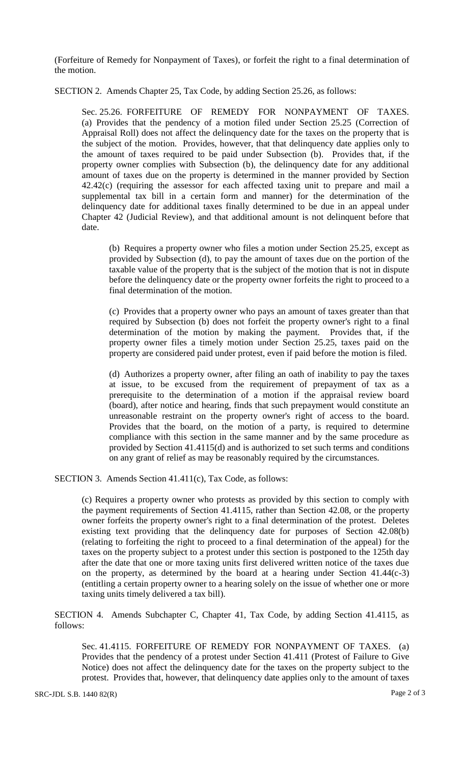(Forfeiture of Remedy for Nonpayment of Taxes), or forfeit the right to a final determination of the motion.

SECTION 2. Amends Chapter 25, Tax Code, by adding Section 25.26, as follows:

Sec. 25.26. FORFEITURE OF REMEDY FOR NONPAYMENT OF TAXES. (a) Provides that the pendency of a motion filed under Section 25.25 (Correction of Appraisal Roll) does not affect the delinquency date for the taxes on the property that is the subject of the motion. Provides, however, that that delinquency date applies only to the amount of taxes required to be paid under Subsection (b). Provides that, if the property owner complies with Subsection (b), the delinquency date for any additional amount of taxes due on the property is determined in the manner provided by Section 42.42(c) (requiring the assessor for each affected taxing unit to prepare and mail a supplemental tax bill in a certain form and manner) for the determination of the delinquency date for additional taxes finally determined to be due in an appeal under Chapter 42 (Judicial Review), and that additional amount is not delinquent before that date.

(b) Requires a property owner who files a motion under Section 25.25, except as provided by Subsection (d), to pay the amount of taxes due on the portion of the taxable value of the property that is the subject of the motion that is not in dispute before the delinquency date or the property owner forfeits the right to proceed to a final determination of the motion.

(c) Provides that a property owner who pays an amount of taxes greater than that required by Subsection (b) does not forfeit the property owner's right to a final determination of the motion by making the payment. Provides that, if the property owner files a timely motion under Section 25.25, taxes paid on the property are considered paid under protest, even if paid before the motion is filed.

(d) Authorizes a property owner, after filing an oath of inability to pay the taxes at issue, to be excused from the requirement of prepayment of tax as a prerequisite to the determination of a motion if the appraisal review board (board), after notice and hearing, finds that such prepayment would constitute an unreasonable restraint on the property owner's right of access to the board. Provides that the board, on the motion of a party, is required to determine compliance with this section in the same manner and by the same procedure as provided by Section 41.4115(d) and is authorized to set such terms and conditions on any grant of relief as may be reasonably required by the circumstances.

SECTION 3. Amends Section 41.411(c), Tax Code, as follows:

(c) Requires a property owner who protests as provided by this section to comply with the payment requirements of Section 41.4115, rather than Section 42.08, or the property owner forfeits the property owner's right to a final determination of the protest. Deletes existing text providing that the delinquency date for purposes of Section 42.08(b) (relating to forfeiting the right to proceed to a final determination of the appeal) for the taxes on the property subject to a protest under this section is postponed to the 125th day after the date that one or more taxing units first delivered written notice of the taxes due on the property, as determined by the board at a hearing under Section 41.44(c-3) (entitling a certain property owner to a hearing solely on the issue of whether one or more taxing units timely delivered a tax bill).

SECTION 4. Amends Subchapter C, Chapter 41, Tax Code, by adding Section 41.4115, as follows:

Sec. 41.4115. FORFEITURE OF REMEDY FOR NONPAYMENT OF TAXES. (a) Provides that the pendency of a protest under Section 41.411 (Protest of Failure to Give Notice) does not affect the delinquency date for the taxes on the property subject to the protest. Provides that, however, that delinquency date applies only to the amount of taxes